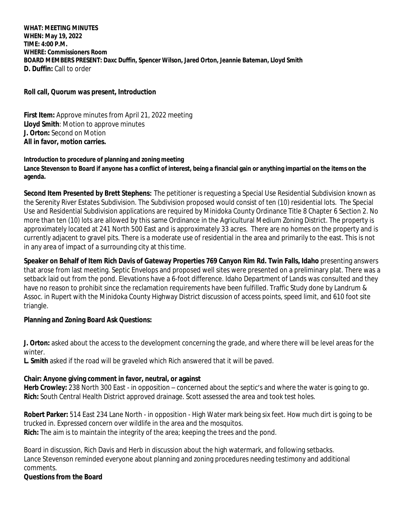**WHAT: MEETING MINUTES WHEN: May 19, 2022 TIME: 4:00 P.M. WHERE: Commissioners Room BOARD MEMBERS PRESENT: Daxc Duffin, Spencer Wilson, Jared Orton, Jeannie Bateman, Lloyd Smith D. Duffin:** Call to order

**Roll call, Quorum was present, Introduction**

**First Item:** Approve minutes from April 21, 2022 meeting **Lloyd Smith**: Motion to approve minutes **J. Orton:** Second on Motion **All in favor, motion carries.**

#### **Introduction to procedure of planning and zoning meeting** Lance Stevenson to Board if anyone has a conflict of interest, being a financial gain or anything impartial on the items on the **agenda.**

**Second Item Presented by Brett Stephens:** The petitioner is requesting a Special Use Residential Subdivision known as the Serenity River Estates Subdivision. The Subdivision proposed would consist of ten (10) residential lots. The Special Use and Residential Subdivision applications are required by Minidoka County Ordinance Title 8 Chapter 6 Section 2. No more than ten (10) lots are allowed by this same Ordinance in the Agricultural Medium Zoning District. The property is approximately located at 241 North 500 East and is approximately 33 acres. There are no homes on the property and is currently adjacent to gravel pits. There is a moderate use of residential in the area and primarily to the east. This is not in any area of impact of a surrounding city at this time.

**Speaker on Behalf of Item Rich Davis of Gateway Properties 769 Canyon Rim Rd. Twin Falls, Idaho** presenting answers that arose from last meeting. Septic Envelops and proposed well sites were presented on a preliminary plat. There was a setback laid out from the pond. Elevations have a 6-foot difference. Idaho Department of Lands was consulted and they have no reason to prohibit since the reclamation requirements have been fulfilled. Traffic Study done by Landrum & Assoc. in Rupert with the Minidoka County Highway District discussion of access points, speed limit, and 610 foot site triangle.

### **Planning and Zoning Board Ask Questions:**

**J. Orton:** asked about the access to the development concerning the grade, and where there will be level areas for the winter.

**L. Smith** asked if the road will be graveled which Rich answered that it will be paved.

### **Chair: Anyone giving comment in favor, neutral, or against**

**Herb Crowley:** 238 North 300 East - in opposition – concerned about the septic's and where the water is going to go. **Rich:** South Central Health District approved drainage. Scott assessed the area and took test holes.

**Robert Parker:** 514 East 234 Lane North - in opposition - High Water mark being six feet. How much dirt is going to be trucked in. Expressed concern over wildlife in the area and the mosquitos. **Rich:** The aim is to maintain the integrity of the area; keeping the trees and the pond.

Board in discussion, Rich Davis and Herb in discussion about the high watermark, and following setbacks. Lance Stevenson reminded everyone about planning and zoning procedures needing testimony and additional comments.

### **Questions from the Board**